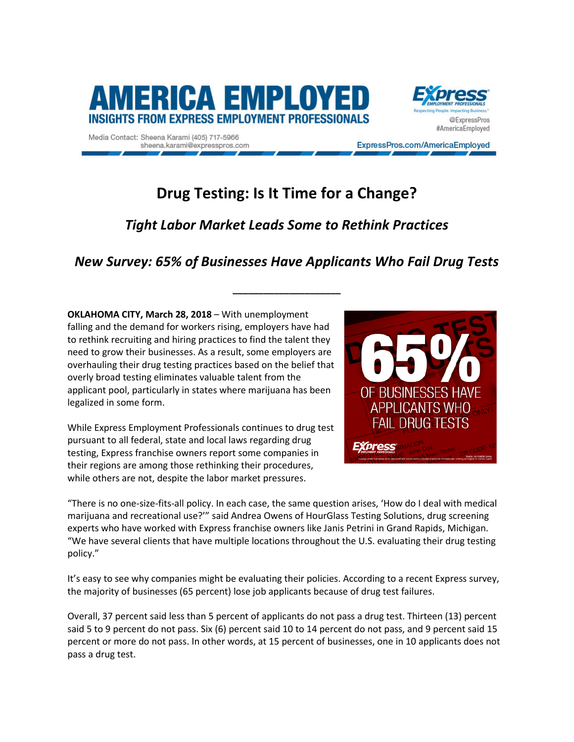

Media Contact: Sheena Karami (405) 717-5966 sheena.karami@expresspros.com



ExpressPros.com/AmericaEmployed

# **Drug Testing: Is It Time for a Change?**

## *Tight Labor Market Leads Some to Rethink Practices*

## *New Survey: 65% of Businesses Have Applicants Who Fail Drug Tests*

**\_\_\_\_\_\_\_\_\_\_\_\_\_\_\_\_\_\_\_\_\_**

**OKLAHOMA CITY, March 28, 2018** – With unemployment falling and the demand for workers rising, employers have had to rethink recruiting and hiring practices to find the talent they need to grow their businesses. As a result, some employers are overhauling their drug testing practices based on the belief that overly broad testing eliminates valuable talent from the applicant pool, particularly in states where marijuana has been legalized in some form.

While Express Employment Professionals continues to drug test pursuant to all federal, state and local laws regarding drug testing, Express franchise owners report some companies in their regions are among those rethinking their procedures, while others are not, despite the labor market pressures.



"There is no one-size-fits-all policy. In each case, the same question arises, 'How do I deal with medical marijuana and recreational use?'" said Andrea Owens of HourGlass Testing Solutions, drug screening experts who have worked with Express franchise owners like Janis Petrini in Grand Rapids, Michigan. "We have several clients that have multiple locations throughout the U.S. evaluating their drug testing policy."

It's easy to see why companies might be evaluating their policies. According to a recent Express survey, the majority of businesses (65 percent) lose job applicants because of drug test failures.

Overall, 37 percent said less than 5 percent of applicants do not pass a drug test. Thirteen (13) percent said 5 to 9 percent do not pass. Six (6) percent said 10 to 14 percent do not pass, and 9 percent said 15 percent or more do not pass. In other words, at 15 percent of businesses, one in 10 applicants does not pass a drug test.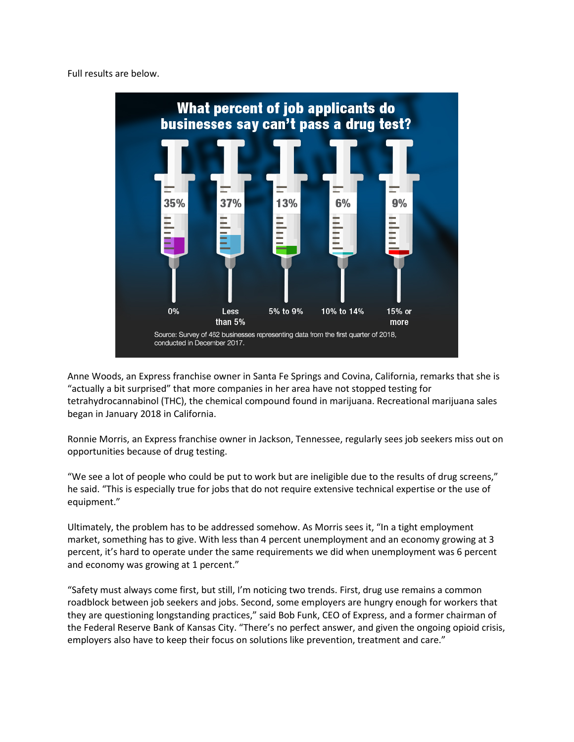Full results are below.



Anne Woods, an Express franchise owner in Santa Fe Springs and Covina, California, remarks that she is "actually a bit surprised" that more companies in her area have not stopped testing for tetrahydrocannabinol (THC), the chemical compound found in marijuana. Recreational marijuana sales began in January 2018 in California.

Ronnie Morris, an Express franchise owner in Jackson, Tennessee, regularly sees job seekers miss out on opportunities because of drug testing.

"We see a lot of people who could be put to work but are ineligible due to the results of drug screens," he said. "This is especially true for jobs that do not require extensive technical expertise or the use of equipment."

Ultimately, the problem has to be addressed somehow. As Morris sees it, "In a tight employment market, something has to give. With less than 4 percent unemployment and an economy growing at 3 percent, it's hard to operate under the same requirements we did when unemployment was 6 percent and economy was growing at 1 percent."

"Safety must always come first, but still, I'm noticing two trends. First, drug use remains a common roadblock between job seekers and jobs. Second, some employers are hungry enough for workers that they are questioning longstanding practices," said Bob Funk, CEO of Express, and a former chairman of the Federal Reserve Bank of Kansas City. "There's no perfect answer, and given the ongoing opioid crisis, employers also have to keep their focus on solutions like prevention, treatment and care."